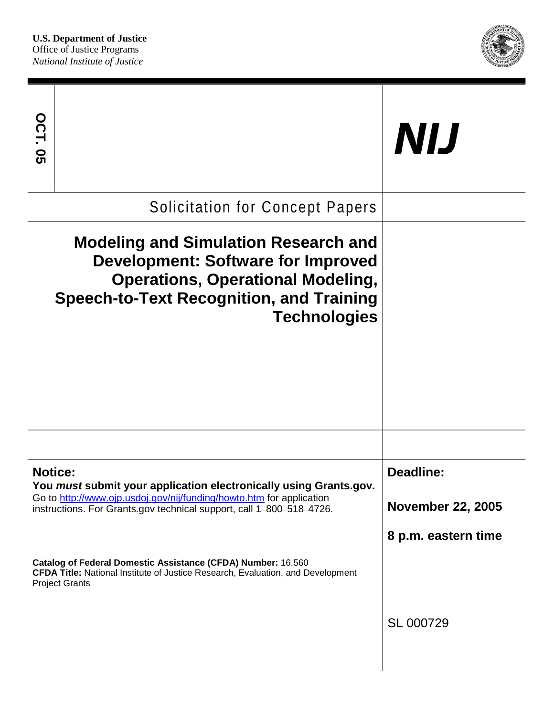

| <b>OCT. 05</b>                         |                                                                                                                                                                                                                                     | NIJ                                                          |
|----------------------------------------|-------------------------------------------------------------------------------------------------------------------------------------------------------------------------------------------------------------------------------------|--------------------------------------------------------------|
| <b>Solicitation for Concept Papers</b> |                                                                                                                                                                                                                                     |                                                              |
|                                        | <b>Modeling and Simulation Research and</b><br><b>Development: Software for Improved</b><br><b>Operations, Operational Modeling,</b><br><b>Speech-to-Text Recognition, and Training</b><br><b>Technologies</b>                      |                                                              |
|                                        |                                                                                                                                                                                                                                     |                                                              |
|                                        | <b>Notice:</b><br>You must submit your application electronically using Grants.gov.<br>Go to http://www.ojp.usdoj.gov/nij/funding/howto.htm for application<br>instructions. For Grants.gov technical support, call 1-800-518-4726. | Deadline:<br><b>November 22, 2005</b><br>8 p.m. eastern time |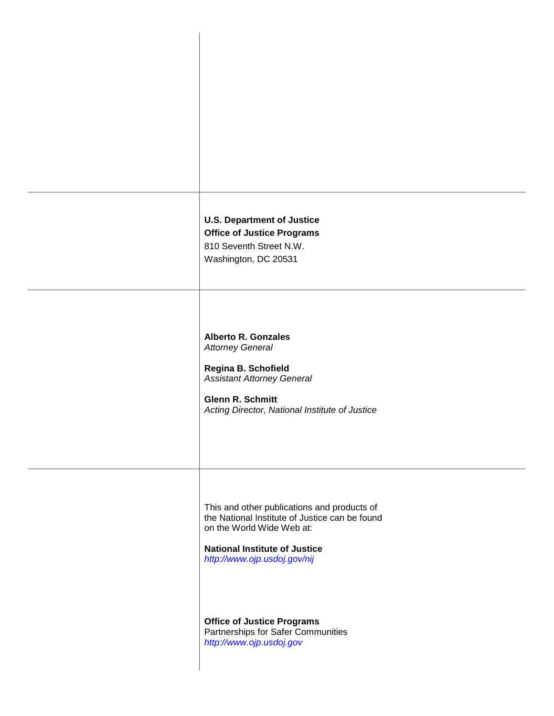**U.S. Department of Justice Office of Justice Programs**  810 Seventh Street N.W. Washington, DC 20531 **Alberto R. Gonzales**  *Attorney General*  **Regina B. Schofield**  *Assistant Attorney General*  **Glenn R. Schmitt**  *Acting Director, National Institute of Justice*  This and other publications and products of the National Institute of Justice can be found on the World Wide Web at: **National Institute of Justice**  *<http://www.ojp.usdoj.gov/nij>*  **Office of Justice Programs**  Partnerships for Safer Communities *<http://www.ojp.usdoj.gov>*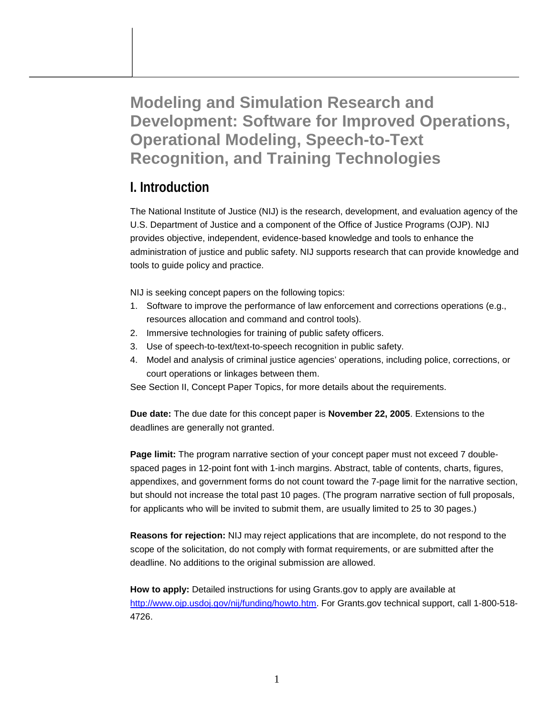**Modeling and Simulation Research and Development: Software for Improved Operations, Operational Modeling, Speech-to-Text Recognition, and Training Technologies** 

## **I. Introduction**

The National Institute of Justice (NIJ) is the research, development, and evaluation agency of the U.S. Department of Justice and a component of the Office of Justice Programs (OJP). NIJ provides objective, independent, evidence-based knowledge and tools to enhance the administration of justice and public safety. NIJ supports research that can provide knowledge and tools to guide policy and practice.

NIJ is seeking concept papers on the following topics:

- 1. Software to improve the performance of law enforcement and corrections operations (e.g., resources allocation and command and control tools).
- 2. Immersive technologies for training of public safety officers.
- 3. Use of speech-to-text/text-to-speech recognition in public safety.
- 4. Model and analysis of criminal justice agencies' operations, including police, corrections, or court operations or linkages between them.

See Section II, Concept Paper Topics, for more details about the requirements.

**Due date:** The due date for this concept paper is **November 22, 2005**. Extensions to the deadlines are generally not granted.

**Page limit:** The program narrative section of your concept paper must not exceed 7 doublespaced pages in 12-point font with 1-inch margins. Abstract, table of contents, charts, figures, appendixes, and government forms do not count toward the 7-page limit for the narrative section, but should not increase the total past 10 pages. (The program narrative section of full proposals, for applicants who will be invited to submit them, are usually limited to 25 to 30 pages.)

**Reasons for rejection:** NIJ may reject applications that are incomplete, do not respond to the scope of the solicitation, do not comply with format requirements, or are submitted after the deadline. No additions to the original submission are allowed.

**How to apply:** Detailed instructions for using Grants.gov to apply are available at [http://www.ojp.usdoj.gov/nij/funding/howto.htm.](http://www.ojp.usdoj.gov/nij/funding/howto.htm) For Grants.gov technical support, call 1-800-518- 4726.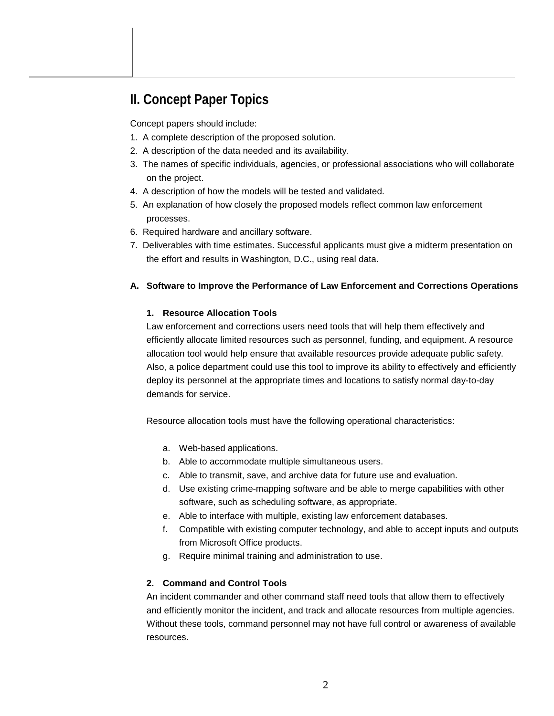# **II. Concept Paper Topics**

Concept papers should include:

- 1. A complete description of the proposed solution.
- 2. A description of the data needed and its availability.
- 3. The names of specific individuals, agencies, or professional associations who will collaborate on the project.
- 4. A description of how the models will be tested and validated.
- 5. An explanation of how closely the proposed models reflect common law enforcement processes.
- 6. Required hardware and ancillary software.
- 7. Deliverables with time estimates. Successful applicants must give a midterm presentation on the effort and results in Washington, D.C., using real data.

#### **A. Software to Improve the Performance of Law Enforcement and Corrections Operations**

#### **1. Resource Allocation Tools**

Law enforcement and corrections users need tools that will help them effectively and efficiently allocate limited resources such as personnel, funding, and equipment. A resource allocation tool would help ensure that available resources provide adequate public safety. Also, a police department could use this tool to improve its ability to effectively and efficiently deploy its personnel at the appropriate times and locations to satisfy normal day-to-day demands for service.

Resource allocation tools must have the following operational characteristics:

- a. Web-based applications.
- b. Able to accommodate multiple simultaneous users.
- c. Able to transmit, save, and archive data for future use and evaluation.
- d. Use existing crime-mapping software and be able to merge capabilities with other software, such as scheduling software, as appropriate.
- e. Able to interface with multiple, existing law enforcement databases.
- f. Compatible with existing computer technology, and able to accept inputs and outputs from Microsoft Office products.
- g. Require minimal training and administration to use.

#### **2. Command and Control Tools**

An incident commander and other command staff need tools that allow them to effectively and efficiently monitor the incident, and track and allocate resources from multiple agencies. Without these tools, command personnel may not have full control or awareness of available resources.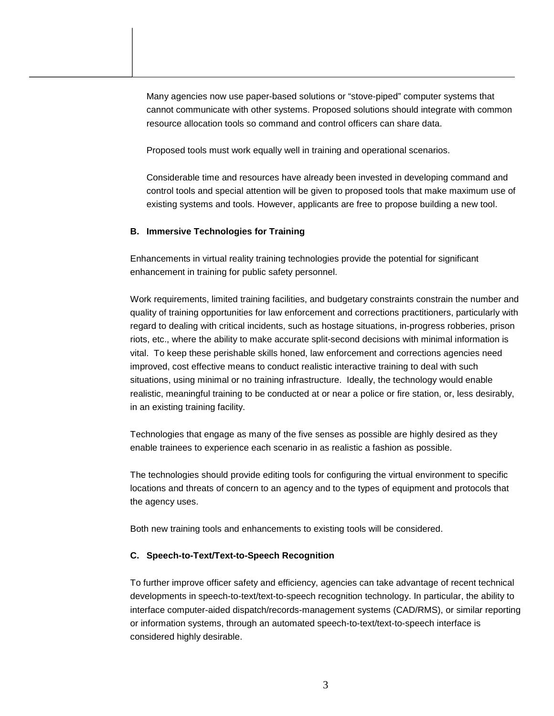Many agencies now use paper-based solutions or "stove-piped" computer systems that cannot communicate with other systems. Proposed solutions should integrate with common resource allocation tools so command and control officers can share data.

Proposed tools must work equally well in training and operational scenarios.

Considerable time and resources have already been invested in developing command and control tools and special attention will be given to proposed tools that make maximum use of existing systems and tools. However, applicants are free to propose building a new tool.

#### **B. Immersive Technologies for Training**

Enhancements in virtual reality training technologies provide the potential for significant enhancement in training for public safety personnel.

Work requirements, limited training facilities, and budgetary constraints constrain the number and quality of training opportunities for law enforcement and corrections practitioners, particularly with regard to dealing with critical incidents, such as hostage situations, in-progress robberies, prison riots, etc., where the ability to make accurate split-second decisions with minimal information is vital. To keep these perishable skills honed, law enforcement and corrections agencies need improved, cost effective means to conduct realistic interactive training to deal with such situations, using minimal or no training infrastructure. Ideally, the technology would enable realistic, meaningful training to be conducted at or near a police or fire station, or, less desirably, in an existing training facility.

Technologies that engage as many of the five senses as possible are highly desired as they enable trainees to experience each scenario in as realistic a fashion as possible.

The technologies should provide editing tools for configuring the virtual environment to specific locations and threats of concern to an agency and to the types of equipment and protocols that the agency uses.

Both new training tools and enhancements to existing tools will be considered.

#### **C. Speech-to-Text/Text-to-Speech Recognition**

To further improve officer safety and efficiency, agencies can take advantage of recent technical developments in speech-to-text/text-to-speech recognition technology. In particular, the ability to interface computer-aided dispatch/records-management systems (CAD/RMS), or similar reporting or information systems, through an automated speech-to-text/text-to-speech interface is considered highly desirable.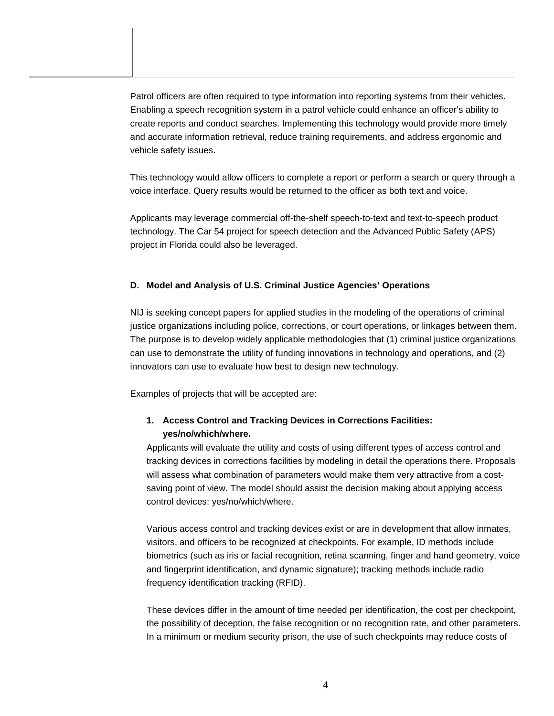Patrol officers are often required to type information into reporting systems from their vehicles. Enabling a speech recognition system in a patrol vehicle could enhance an officer's ability to create reports and conduct searches. Implementing this technology would provide more timely and accurate information retrieval, reduce training requirements, and address ergonomic and vehicle safety issues.

This technology would allow officers to complete a report or perform a search or query through a voice interface. Query results would be returned to the officer as both text and voice.

Applicants may leverage commercial off-the-shelf speech-to-text and text-to-speech product technology. The Car 54 project for speech detection and the Advanced Public Safety (APS) project in Florida could also be leveraged.

#### **D. Model and Analysis of U.S. Criminal Justice Agencies' Operations**

NIJ is seeking concept papers for applied studies in the modeling of the operations of criminal justice organizations including police, corrections, or court operations, or linkages between them. The purpose is to develop widely applicable methodologies that (1) criminal justice organizations can use to demonstrate the utility of funding innovations in technology and operations, and (2) innovators can use to evaluate how best to design new technology.

Examples of projects that will be accepted are:

## **1. Access Control and Tracking Devices in Corrections Facilities: yes/no/which/where.**

Applicants will evaluate the utility and costs of using different types of access control and tracking devices in corrections facilities by modeling in detail the operations there. Proposals will assess what combination of parameters would make them very attractive from a costsaving point of view. The model should assist the decision making about applying access control devices: yes/no/which/where.

Various access control and tracking devices exist or are in development that allow inmates, visitors, and officers to be recognized at checkpoints. For example, ID methods include biometrics (such as iris or facial recognition, retina scanning, finger and hand geometry, voice and fingerprint identification, and dynamic signature); tracking methods include radio frequency identification tracking (RFID).

These devices differ in the amount of time needed per identification, the cost per checkpoint, the possibility of deception, the false recognition or no recognition rate, and other parameters. In a minimum or medium security prison, the use of such checkpoints may reduce costs of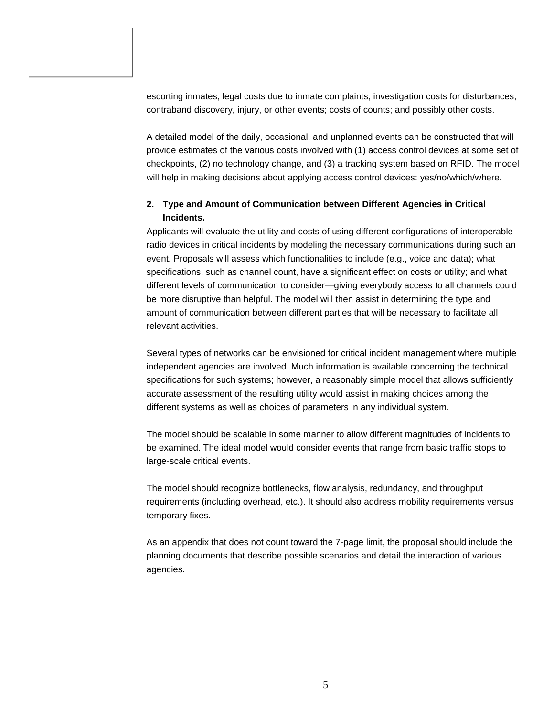escorting inmates; legal costs due to inmate complaints; investigation costs for disturbances, contraband discovery, injury, or other events; costs of counts; and possibly other costs.

A detailed model of the daily, occasional, and unplanned events can be constructed that will provide estimates of the various costs involved with (1) access control devices at some set of checkpoints, (2) no technology change, and (3) a tracking system based on RFID. The model will help in making decisions about applying access control devices: yes/no/which/where.

### **2. Type and Amount of Communication between Different Agencies in Critical Incidents.**

Applicants will evaluate the utility and costs of using different configurations of interoperable radio devices in critical incidents by modeling the necessary communications during such an event. Proposals will assess which functionalities to include (e.g., voice and data); what specifications, such as channel count, have a significant effect on costs or utility; and what different levels of communication to consider—giving everybody access to all channels could be more disruptive than helpful. The model will then assist in determining the type and amount of communication between different parties that will be necessary to facilitate all relevant activities.

Several types of networks can be envisioned for critical incident management where multiple independent agencies are involved. Much information is available concerning the technical specifications for such systems; however, a reasonably simple model that allows sufficiently accurate assessment of the resulting utility would assist in making choices among the different systems as well as choices of parameters in any individual system.

The model should be scalable in some manner to allow different magnitudes of incidents to be examined. The ideal model would consider events that range from basic traffic stops to large-scale critical events.

The model should recognize bottlenecks, flow analysis, redundancy, and throughput requirements (including overhead, etc.). It should also address mobility requirements versus temporary fixes.

As an appendix that does not count toward the 7-page limit, the proposal should include the planning documents that describe possible scenarios and detail the interaction of various agencies.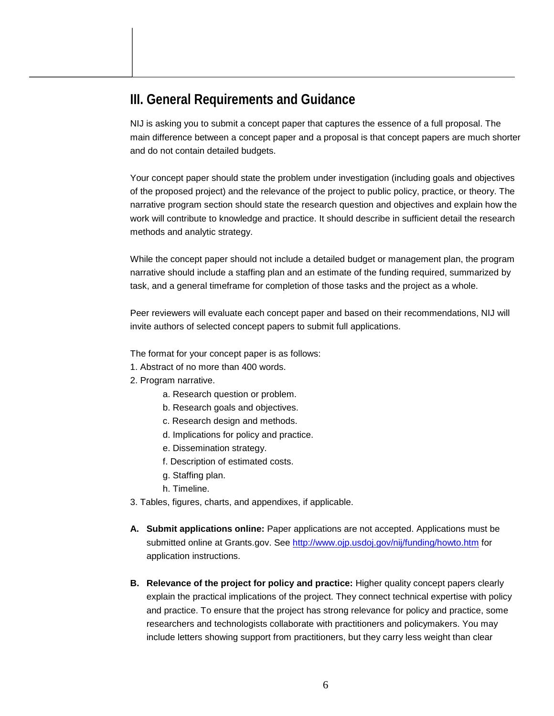## **III. General Requirements and Guidance**

NIJ is asking you to submit a concept paper that captures the essence of a full proposal. The main difference between a concept paper and a proposal is that concept papers are much shorter and do not contain detailed budgets.

Your concept paper should state the problem under investigation (including goals and objectives of the proposed project) and the relevance of the project to public policy, practice, or theory. The narrative program section should state the research question and objectives and explain how the work will contribute to knowledge and practice. It should describe in sufficient detail the research methods and analytic strategy.

While the concept paper should not include a detailed budget or management plan, the program narrative should include a staffing plan and an estimate of the funding required, summarized by task, and a general timeframe for completion of those tasks and the project as a whole.

Peer reviewers will evaluate each concept paper and based on their recommendations, NIJ will invite authors of selected concept papers to submit full applications.

The format for your concept paper is as follows:

- 1. Abstract of no more than 400 words.
- 2. Program narrative.
	- a. Research question or problem.
	- b. Research goals and objectives.
	- c. Research design and methods.
	- d. Implications for policy and practice.
	- e. Dissemination strategy.
	- f. Description of estimated costs.
	- g. Staffing plan.
	- h. Timeline.
- 3. Tables, figures, charts, and appendixes, if applicable.
- **A. Submit applications online:** Paper applications are not accepted. Applications must be submitted online at Grants.gov. See <http://www.ojp.usdoj.gov/nij/funding/howto.htm> for application instructions.
- **B. Relevance of the project for policy and practice:** Higher quality concept papers clearly explain the practical implications of the project. They connect technical expertise with policy and practice. To ensure that the project has strong relevance for policy and practice, some researchers and technologists collaborate with practitioners and policymakers. You may include letters showing support from practitioners, but they carry less weight than clear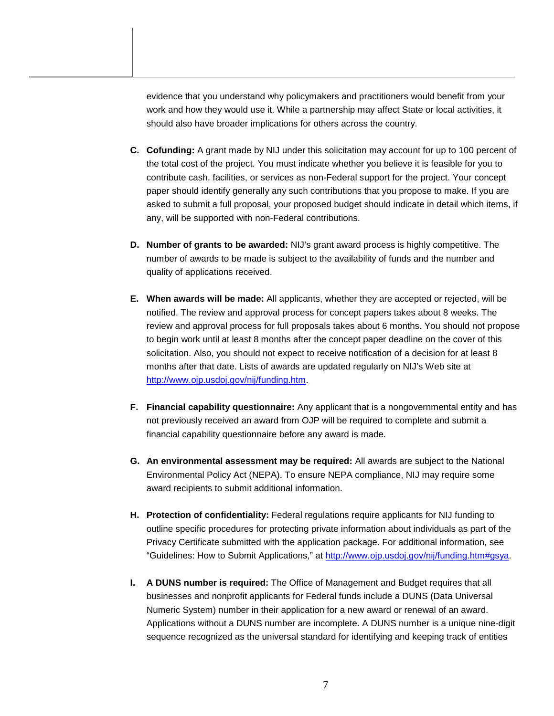evidence that you understand why policymakers and practitioners would benefit from your work and how they would use it. While a partnership may affect State or local activities, it should also have broader implications for others across the country.

- **C. Cofunding:** A grant made by NIJ under this solicitation may account for up to 100 percent of the total cost of the project. You must indicate whether you believe it is feasible for you to contribute cash, facilities, or services as non-Federal support for the project. Your concept paper should identify generally any such contributions that you propose to make. If you are asked to submit a full proposal, your proposed budget should indicate in detail which items, if any, will be supported with non-Federal contributions.
- **D. Number of grants to be awarded:** NIJ's grant award process is highly competitive. The number of awards to be made is subject to the availability of funds and the number and quality of applications received.
- **E. When awards will be made:** All applicants, whether they are accepted or rejected, will be notified. The review and approval process for concept papers takes about 8 weeks. The review and approval process for full proposals takes about 6 months. You should not propose to begin work until at least 8 months after the concept paper deadline on the cover of this solicitation. Also, you should not expect to receive notification of a decision for at least 8 months after that date. Lists of awards are updated regularly on NIJ's Web site at [http://www.ojp.usdoj.gov/nij/funding.htm.](http://www.ojp.usdoj.gov/nij/funding.htm)
- **F. Financial capability questionnaire:** Any applicant that is a nongovernmental entity and has not previously received an award from OJP will be required to complete and submit a financial capability questionnaire before any award is made.
- **G. An environmental assessment may be required:** All awards are subject to the National Environmental Policy Act (NEPA). To ensure NEPA compliance, NIJ may require some award recipients to submit additional information.
- **H. Protection of confidentiality:** Federal regulations require applicants for NIJ funding to outline specific procedures for protecting private information about individuals as part of the Privacy Certificate submitted with the application package. For additional information, see "Guidelines: How to Submit Applications," at [http://www.ojp.usdoj.gov/nij/funding.htm#gsya.](http://www.ojp.usdoj.gov/nij/funding.htm#gsya)
- **I. A DUNS number is required:** The Office of Management and Budget requires that all businesses and nonprofit applicants for Federal funds include a DUNS (Data Universal Numeric System) number in their application for a new award or renewal of an award. Applications without a DUNS number are incomplete. A DUNS number is a unique nine-digit sequence recognized as the universal standard for identifying and keeping track of entities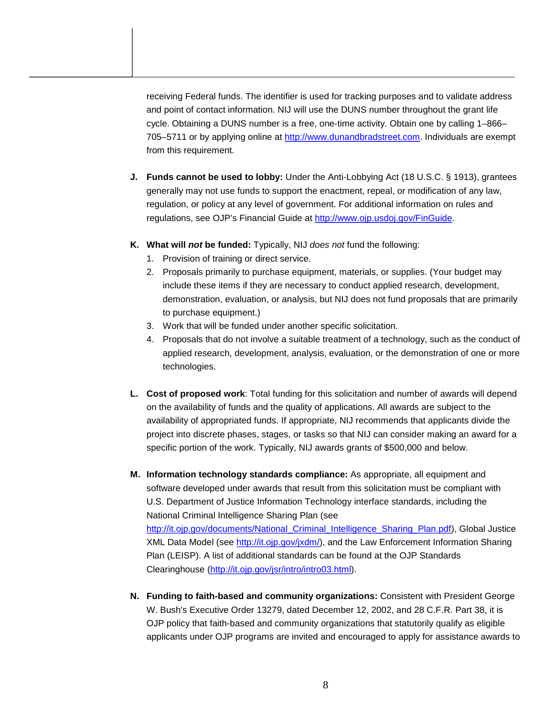receiving Federal funds. The identifier is used for tracking purposes and to validate address and point of contact information. NIJ will use the DUNS number throughout the grant life cycle. Obtaining a DUNS number is a free, one-time activity. Obtain one by calling 1–866– 705–5711 or by applying online at [http://www.dunandbradstreet.com.](http://www.dunandbradstreet.com) Individuals are exempt from this requirement.

- **J. Funds cannot be used to lobby:** Under the Anti-Lobbying Act (18 U.S.C. § 1913), grantees generally may not use funds to support the enactment, repeal, or modification of any law, regulation, or policy at any level of government. For additional information on rules and regulations, see OJP's Financial Guide at [http://www.ojp.usdoj.gov/FinGuide.](http://www.ojp.usdoj.gov/FinGuide)
- **K. What will** *not* **be funded:** Typically, NIJ *does not* fund the following:
	- 1. Provision of training or direct service.
	- 2. Proposals primarily to purchase equipment, materials, or supplies. (Your budget may include these items if they are necessary to conduct applied research, development, demonstration, evaluation, or analysis, but NIJ does not fund proposals that are primarily to purchase equipment.)
	- 3. Work that will be funded under another specific solicitation.
	- 4. Proposals that do not involve a suitable treatment of a technology, such as the conduct of applied research, development, analysis, evaluation, or the demonstration of one or more technologies.
- **L. Cost of proposed work**: Total funding for this solicitation and number of awards will depend on the availability of funds and the quality of applications. All awards are subject to the availability of appropriated funds. If appropriate, NIJ recommends that applicants divide the project into discrete phases, stages, or tasks so that NIJ can consider making an award for a specific portion of the work. Typically, NIJ awards grants of \$500,000 and below.
- **M. Information technology standards compliance:** As appropriate, all equipment and software developed under awards that result from this solicitation must be compliant with U.S. Department of Justice Information Technology interface standards, including the National Criminal Intelligence Sharing Plan (see [http://it.ojp.gov/documents/National\\_Criminal\\_Intelligence\\_Sharing\\_Plan.pd](http://it.ojp.gov/documents/National_Criminal_Intelligence_Sharing_Plan.pdf)f), Global Justice XML Data Model (see [http://it.ojp.gov/jxdm](http://it.ojp.gov/jxdm/)/), and the Law Enforcement Information Sharing Plan (LEISP). A list of additional standards can be found at the OJP Standards Clearinghouse ([http://it.ojp.gov/jsr/intro/intro03.htm](http://it.ojp.gov/jsr/intro/intro03.html)l).
- **N. Funding to faith-based and community organizations:** Consistent with President George W. Bush's Executive Order 13279, dated December 12, 2002, and 28 C.F.R. Part 38, it is OJP policy that faith-based and community organizations that statutorily qualify as eligible applicants under OJP programs are invited and encouraged to apply for assistance awards to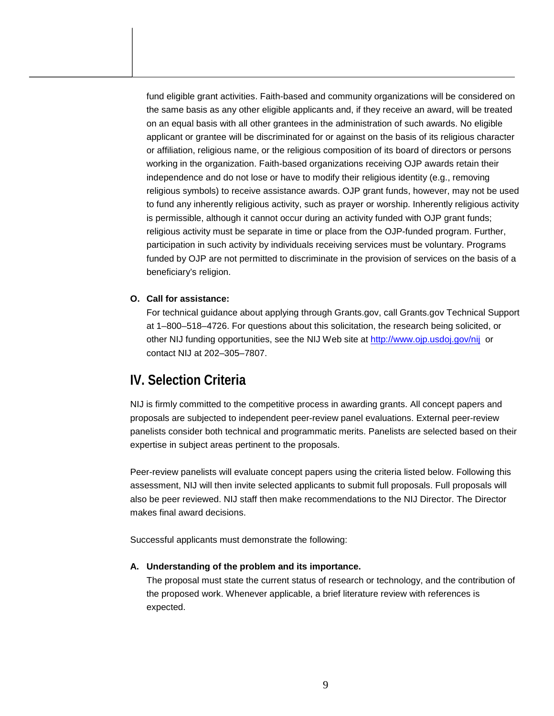fund eligible grant activities. Faith-based and community organizations will be considered on the same basis as any other eligible applicants and, if they receive an award, will be treated on an equal basis with all other grantees in the administration of such awards. No eligible applicant or grantee will be discriminated for or against on the basis of its religious character or affiliation, religious name, or the religious composition of its board of directors or persons working in the organization. Faith-based organizations receiving OJP awards retain their independence and do not lose or have to modify their religious identity (e.g., removing religious symbols) to receive assistance awards. OJP grant funds, however, may not be used to fund any inherently religious activity, such as prayer or worship. Inherently religious activity is permissible, although it cannot occur during an activity funded with OJP grant funds; religious activity must be separate in time or place from the OJP-funded program. Further, participation in such activity by individuals receiving services must be voluntary. Programs funded by OJP are not permitted to discriminate in the provision of services on the basis of a beneficiary's religion.

#### **O. Call for assistance:**

For technical guidance about applying through Grants.gov, call Grants.gov Technical Support at 1–800–518–4726. For questions about this solicitation, the research being solicited, or other NIJ funding opportunities, see the NIJ Web site at <http://www.ojp.usdoj.gov/nij>or contact NIJ at 202–305–7807.

## **IV. Selection Criteria**

NIJ is firmly committed to the competitive process in awarding grants. All concept papers and proposals are subjected to independent peer-review panel evaluations. External peer-review panelists consider both technical and programmatic merits. Panelists are selected based on their expertise in subject areas pertinent to the proposals.

Peer-review panelists will evaluate concept papers using the criteria listed below. Following this assessment, NIJ will then invite selected applicants to submit full proposals. Full proposals will also be peer reviewed. NIJ staff then make recommendations to the NIJ Director. The Director makes final award decisions.

Successful applicants must demonstrate the following:

#### **A. Understanding of the problem and its importance.**

The proposal must state the current status of research or technology, and the contribution of the proposed work. Whenever applicable, a brief literature review with references is expected.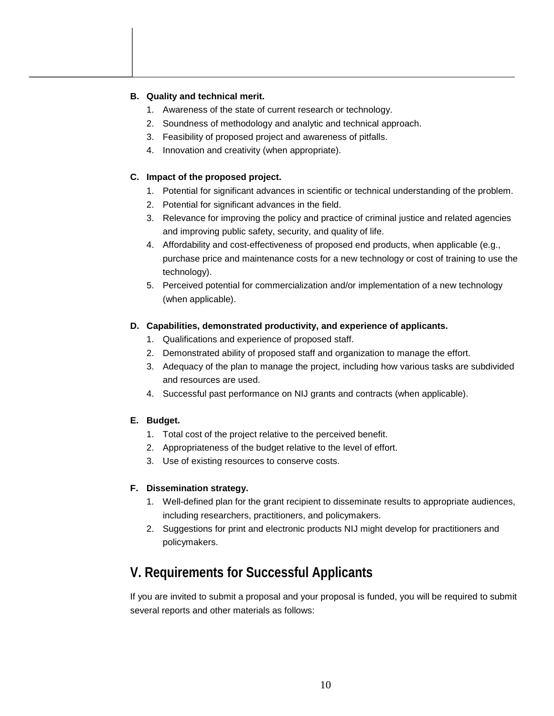### **B. Quality and technical merit.**

- 1. Awareness of the state of current research or technology.
- 2. Soundness of methodology and analytic and technical approach.
- 3. Feasibility of proposed project and awareness of pitfalls.
- 4. Innovation and creativity (when appropriate).

### **C. Impact of the proposed project.**

- 1. Potential for significant advances in scientific or technical understanding of the problem.
- 2. Potential for significant advances in the field.
- 3. Relevance for improving the policy and practice of criminal justice and related agencies and improving public safety, security, and quality of life.
- 4. Affordability and cost-effectiveness of proposed end products, when applicable (e.g., purchase price and maintenance costs for a new technology or cost of training to use the technology).
- 5. Perceived potential for commercialization and/or implementation of a new technology (when applicable).

### **D. Capabilities, demonstrated productivity, and experience of applicants.**

- 1. Qualifications and experience of proposed staff.
- 2. Demonstrated ability of proposed staff and organization to manage the effort.
- 3. Adequacy of the plan to manage the project, including how various tasks are subdivided and resources are used.
- 4. Successful past performance on NIJ grants and contracts (when applicable).

## **E. Budget.**

- 1. Total cost of the project relative to the perceived benefit.
- 2. Appropriateness of the budget relative to the level of effort.
- 3. Use of existing resources to conserve costs.

## **F. Dissemination strategy.**

- 1. Well-defined plan for the grant recipient to disseminate results to appropriate audiences, including researchers, practitioners, and policymakers.
- 2. Suggestions for print and electronic products NIJ might develop for practitioners and policymakers.

## **V. Requirements for Successful Applicants**

If you are invited to submit a proposal and your proposal is funded, you will be required to submit several reports and other materials as follows: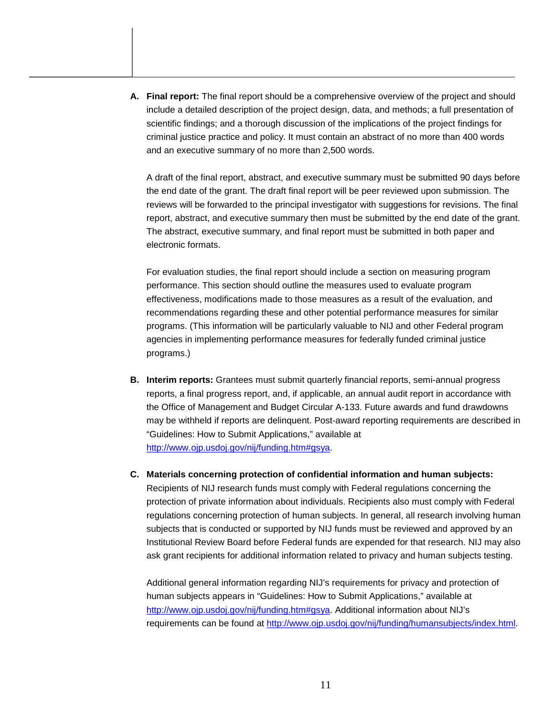**A. Final report:** The final report should be a comprehensive overview of the project and should include a detailed description of the project design, data, and methods; a full presentation of scientific findings; and a thorough discussion of the implications of the project findings for criminal justice practice and policy. It must contain an abstract of no more than 400 words and an executive summary of no more than 2,500 words.

A draft of the final report, abstract, and executive summary must be submitted 90 days before the end date of the grant. The draft final report will be peer reviewed upon submission. The reviews will be forwarded to the principal investigator with suggestions for revisions. The final report, abstract, and executive summary then must be submitted by the end date of the grant. The abstract, executive summary, and final report must be submitted in both paper and electronic formats.

For evaluation studies, the final report should include a section on measuring program performance. This section should outline the measures used to evaluate program effectiveness, modifications made to those measures as a result of the evaluation, and recommendations regarding these and other potential performance measures for similar programs. (This information will be particularly valuable to NIJ and other Federal program agencies in implementing performance measures for federally funded criminal justice programs.)

- **B.** Interim reports: Grantees must submit quarterly financial reports, semi-annual progress reports, a final progress report, and, if applicable, an annual audit report in accordance with the Office of Management and Budget Circular A-133. Future awards and fund drawdowns may be withheld if reports are delinquent. Post-award reporting requirements are described in "Guidelines: How to Submit Applications," available at [http://www.ojp.usdoj.gov/nij/funding.htm#gsya.](http://www.ojp.usdoj.gov/nij/funding.htm#gsya)
- **C. Materials concerning protection of confidential information and human subjects:**  Recipients of NIJ research funds must comply with Federal regulations concerning the protection of private information about individuals. Recipients also must comply with Federal regulations concerning protection of human subjects. In general, all research involving human subjects that is conducted or supported by NIJ funds must be reviewed and approved by an Institutional Review Board before Federal funds are expended for that research. NIJ may also ask grant recipients for additional information related to privacy and human subjects testing.

Additional general information regarding NIJ's requirements for privacy and protection of human subjects appears in "Guidelines: How to Submit Applications," available at [http://www.ojp.usdoj.gov/nij/funding.htm#gsya.](http://www.ojp.usdoj.gov/nij/funding.htm#gsya) Additional information about NIJ's requirements can be found at [http://www.ojp.usdoj.gov/nij/funding/humansubjects/index.html.](http://www.ojp.usdoj.gov/nij/funding/humansubjects/index.html)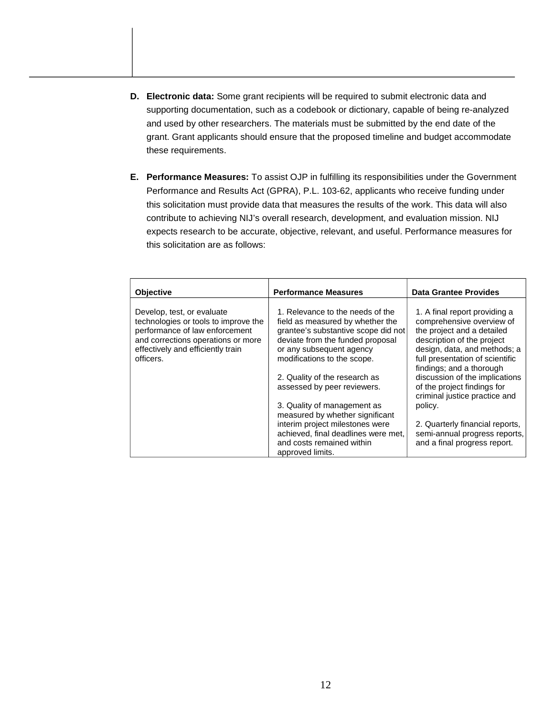- **D. Electronic data:** Some grant recipients will be required to submit electronic data and supporting documentation, such as a codebook or dictionary, capable of being re-analyzed and used by other researchers. The materials must be submitted by the end date of the grant. Grant applicants should ensure that the proposed timeline and budget accommodate these requirements.
- **E. Performance Measures:** To assist OJP in fulfilling its responsibilities under the Government Performance and Results Act (GPRA), P.L. 103-62, applicants who receive funding under this solicitation must provide data that measures the results of the work. This data will also contribute to achieving NIJ's overall research, development, and evaluation mission. NIJ expects research to be accurate, objective, relevant, and useful. Performance measures for this solicitation are as follows:

| <b>Objective</b>                                                                                                                                                                | <b>Performance Measures</b>                                                                                                                                                 | <b>Data Grantee Provides</b>                                                                                                                           |
|---------------------------------------------------------------------------------------------------------------------------------------------------------------------------------|-----------------------------------------------------------------------------------------------------------------------------------------------------------------------------|--------------------------------------------------------------------------------------------------------------------------------------------------------|
| Develop, test, or evaluate<br>technologies or tools to improve the<br>performance of law enforcement<br>and corrections operations or more<br>effectively and efficiently train | 1. Relevance to the needs of the<br>field as measured by whether the<br>grantee's substantive scope did not<br>deviate from the funded proposal<br>or any subsequent agency | 1. A final report providing a<br>comprehensive overview of<br>the project and a detailed<br>description of the project<br>design, data, and methods; a |
| officers.                                                                                                                                                                       | modifications to the scope.<br>2. Quality of the research as                                                                                                                | full presentation of scientific<br>findings; and a thorough<br>discussion of the implications                                                          |
|                                                                                                                                                                                 | assessed by peer reviewers.                                                                                                                                                 | of the project findings for<br>criminal justice practice and                                                                                           |
|                                                                                                                                                                                 | 3. Quality of management as<br>measured by whether significant                                                                                                              | policy.                                                                                                                                                |
|                                                                                                                                                                                 | interim project milestones were<br>achieved, final deadlines were met,                                                                                                      | 2. Quarterly financial reports,<br>semi-annual progress reports,                                                                                       |
|                                                                                                                                                                                 | and costs remained within<br>approved limits.                                                                                                                               | and a final progress report.                                                                                                                           |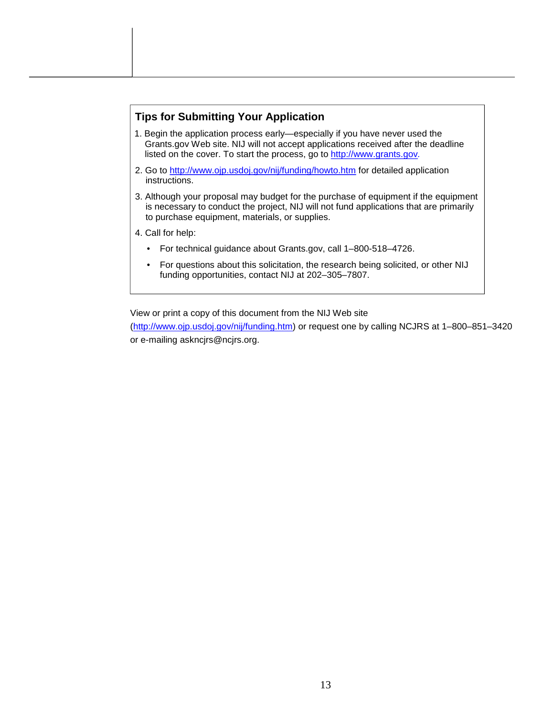## **Tips for Submitting Your Application**

- 1. Begin the application process early—especially if you have never used the Grants.gov Web site. NIJ will not accept applications received after the deadline listed on the cover. To start the process, go to <http://www.grants.gov>*.*
- 2. Go to <http://www.ojp.usdoj.gov/nij/funding/howto.htm> for detailed application instructions.
- 3. Although your proposal may budget for the purchase of equipment if the equipment is necessary to conduct the project, NIJ will not fund applications that are primarily to purchase equipment, materials, or supplies.
- 4. Call for help:
	- For technical guidance about Grants.gov, call 1–800-518–4726.
	- For questions about this solicitation, the research being solicited, or other NIJ funding opportunities, contact NIJ at 202–305–7807.

View or print a copy of this document from the NIJ Web site

[\(http://www.ojp.usdoj.gov/nij/funding.htm\)](http://www.ojp.usdoj.gov/nij/funding.htm) or request one by calling NCJRS at 1–800–851–3420 or e-mailing askncjrs@ncjrs.org.